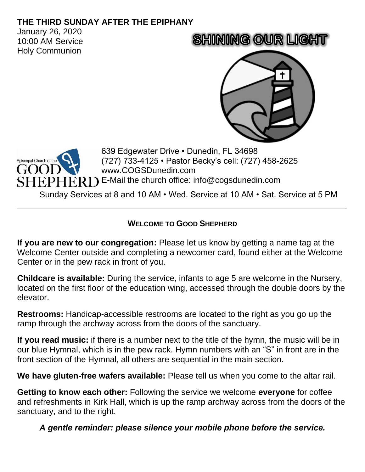# **THE THIRD SUNDAY AFTER THE EPIPHANY**

January 26, 2020 10:00 AM Service Holy Communion

# **SHINING OUR LIGHT**





639 Edgewater Drive • Dunedin, FL 34698 (727) 733-4125 • Pastor Becky's cell: (727) 458-2625 www.COGSDunedin.com E-Mail the church office: info@cogsdunedin.com

Sunday Services at 8 and 10 AM • Wed. Service at 10 AM • Sat. Service at 5 PM

### **WELCOME TO GOOD SHEPHERD**

**If you are new to our congregation:** Please let us know by getting a name tag at the Welcome Center outside and completing a newcomer card, found either at the Welcome Center or in the pew rack in front of you.

**Childcare is available:** During the service, infants to age 5 are welcome in the Nursery, located on the first floor of the education wing, accessed through the double doors by the elevator.

**Restrooms:** Handicap-accessible restrooms are located to the right as you go up the ramp through the archway across from the doors of the sanctuary.

**If you read music:** if there is a number next to the title of the hymn, the music will be in our blue Hymnal, which is in the pew rack. Hymn numbers with an "S" in front are in the front section of the Hymnal, all others are sequential in the main section.

**We have gluten-free wafers available:** Please tell us when you come to the altar rail.

**Getting to know each other:** Following the service we welcome **everyone** for coffee and refreshments in Kirk Hall, which is up the ramp archway across from the doors of the sanctuary, and to the right.

*A gentle reminder: please silence your mobile phone before the service.*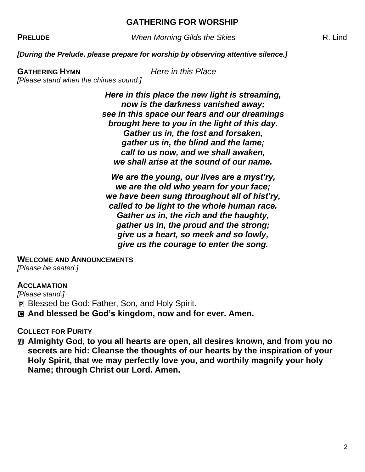#### **GATHERING FOR WORSHIP**

**PRELUDE** *When Morning Gilds the Skies* **R. Lind** 

*[During the Prelude, please prepare for worship by observing attentive silence.]*

**GATHERING HYMN** *Here in this Place*

*[Please stand when the chimes sound.]*

*Here in this place the new light is streaming, now is the darkness vanished away; see in this space our fears and our dreamings brought here to you in the light of this day. Gather us in, the lost and forsaken, gather us in, the blind and the lame; call to us now, and we shall awaken, we shall arise at the sound of our name.*

*We are the young, our lives are a myst'ry, we are the old who yearn for your face; we have been sung throughout all of hist'ry, called to be light to the whole human race. Gather us in, the rich and the haughty, gather us in, the proud and the strong; give us a heart, so meek and so lowly, give us the courage to enter the song.*

**WELCOME AND ANNOUNCEMENTS**

*[Please be seated.]*

#### **ACCLAMATION**

*[Please stand.]*

P Blessed be God: Father, Son, and Holy Spirit.

C **And blessed be God's kingdom, now and for ever. Amen.**

### **COLLECT FOR PURITY**

 $\text{m}$  **Almighty God, to you all hearts are open, all desires known, and from you no secrets are hid: Cleanse the thoughts of our hearts by the inspiration of your Holy Spirit, that we may perfectly love you, and worthily magnify your holy Name; through Christ our Lord. Amen.**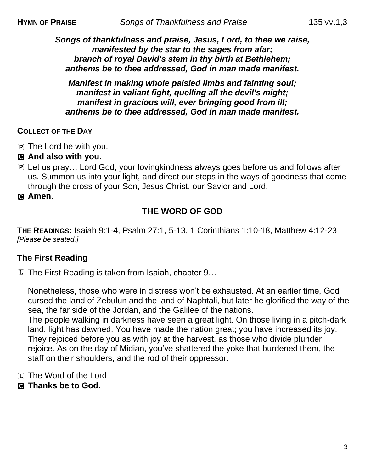*Songs of thankfulness and praise, Jesus, Lord, to thee we raise, manifested by the star to the sages from afar; branch of royal David's stem in thy birth at Bethlehem; anthems be to thee addressed, God in man made manifest.*

*Manifest in making whole palsied limbs and fainting soul; manifest in valiant fight, quelling all the devil's might; manifest in gracious will, ever bringing good from ill; anthems be to thee addressed, God in man made manifest.*

#### **COLLECT OF THE DAY**

 $\overline{p}$  The Lord be with you.

#### C **And also with you.**

- P Let us pray… Lord God, your lovingkindness always goes before us and follows after us. Summon us into your light, and direct our steps in the ways of goodness that come through the cross of your Son, Jesus Christ, our Savior and Lord.
- C **Amen.**

### **THE WORD OF GOD**

**THE READINGS:** Isaiah 9:1-4, Psalm 27:1, 5-13, 1 Corinthians 1:10-18, Matthew 4:12-23 *[Please be seated.]*

#### **The First Reading**

L The First Reading is taken from Isaiah, chapter 9…

Nonetheless, those who were in distress won't be exhausted. At an earlier time, God cursed the land of Zebulun and the land of Naphtali, but later he glorified the way of the sea, the far side of the Jordan, and the Galilee of the nations.

The people walking in darkness have seen a great light. On those living in a pitch-dark land, light has dawned. You have made the nation great; you have increased its joy. They rejoiced before you as with joy at the harvest, as those who divide plunder rejoice. As on the day of Midian, you've shattered the yoke that burdened them, the staff on their shoulders, and the rod of their oppressor.

L The Word of the Lord

### C **Thanks be to God.**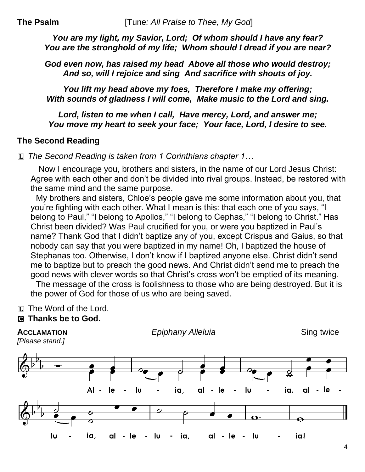*You are my light, my Savior, Lord; Of whom should I have any fear? You are the stronghold of my life; Whom should I dread if you are near?*

*God even now, has raised my head Above all those who would destroy; And so, will I rejoice and sing And sacrifice with shouts of joy.*

*You lift my head above my foes, Therefore I make my offering; With sounds of gladness I will come, Make music to the Lord and sing.*

*Lord, listen to me when I call, Have mercy, Lord, and answer me; You move my heart to seek your face; Your face, Lord, I desire to see.*

# **The Second Reading**

L *The Second Reading is taken from 1 Corinthians chapter 1…*

Now I encourage you, brothers and sisters, in the name of our Lord Jesus Christ: Agree with each other and don't be divided into rival groups. Instead, be restored with the same mind and the same purpose.

My brothers and sisters, Chloe's people gave me some information about you, that you're fighting with each other. What I mean is this: that each one of you says, "I belong to Paul," "I belong to Apollos," "I belong to Cephas," "I belong to Christ." Has Christ been divided? Was Paul crucified for you, or were you baptized in Paul's name? Thank God that I didn't baptize any of you, except Crispus and Gaius, so that nobody can say that you were baptized in my name! Oh, I baptized the house of Stephanas too. Otherwise, I don't know if I baptized anyone else. Christ didn't send me to baptize but to preach the good news. And Christ didn't send me to preach the good news with clever words so that Christ's cross won't be emptied of its meaning. The message of the cross is foolishness to those who are being destroyed. But it is

the power of God for those of us who are being saved.

L The Word of the Lord.

### C **Thanks be to God.**

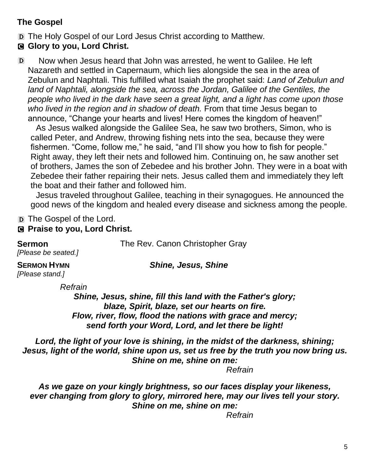# **The Gospel**

D The Holy Gospel of our Lord Jesus Christ according to Matthew.

# C **Glory to you, Lord Christ.**

D Now when Jesus heard that John was arrested, he went to Galilee. He left Nazareth and settled in Capernaum, which lies alongside the sea in the area of Zebulun and Naphtali. This fulfilled what Isaiah the prophet said: *Land of Zebulun and land of Naphtali, alongside the sea, across the Jordan, Galilee of the Gentiles, the people who lived in the dark have seen a great light, and a light has come upon those who lived in the region and in shadow of death.* From that time Jesus began to announce, "Change your hearts and lives! Here comes the kingdom of heaven!"

As Jesus walked alongside the Galilee Sea, he saw two brothers, Simon, who is called Peter, and Andrew, throwing fishing nets into the sea, because they were fishermen. "Come, follow me," he said, "and I'll show you how to fish for people." Right away, they left their nets and followed him. Continuing on, he saw another set of brothers, James the son of Zebedee and his brother John. They were in a boat with Zebedee their father repairing their nets. Jesus called them and immediately they left the boat and their father and followed him.

Jesus traveled throughout Galilee, teaching in their synagogues. He announced the good news of the kingdom and healed every disease and sickness among the people.

D The Gospel of the Lord.

# C **Praise to you, Lord Christ.**

**Sermon** The Rev. Canon Christopher Gray

*[Please stand.]*

*[Please be seated.]*

**SERMON HYMN** *Shine, Jesus, Shine*

*Refrain*

*Shine, Jesus, shine, fill this land with the Father's glory; blaze, Spirit, blaze, set our hearts on fire. Flow, river, flow, flood the nations with grace and mercy; send forth your Word, Lord, and let there be light!*

*Lord, the light of your love is shining, in the midst of the darkness, shining; Jesus, light of the world, shine upon us, set us free by the truth you now bring us. Shine on me, shine on me:* 

*Refrain*

*As we gaze on your kingly brightness, so our faces display your likeness, ever changing from glory to glory, mirrored here, may our lives tell your story. Shine on me, shine on me:* 

*Refrain*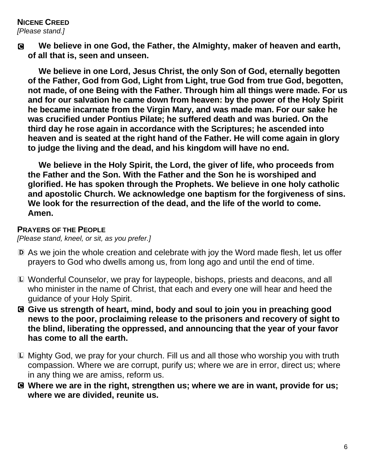#### **NICENE CREED**  *[Please stand.]*

C **We believe in one God, the Father, the Almighty, maker of heaven and earth, of all that is, seen and unseen.**

**We believe in one Lord, Jesus Christ, the only Son of God, eternally begotten of the Father, God from God, Light from Light, true God from true God, begotten, not made, of one Being with the Father. Through him all things were made. For us and for our salvation he came down from heaven: by the power of the Holy Spirit he became incarnate from the Virgin Mary, and was made man. For our sake he was crucified under Pontius Pilate; he suffered death and was buried. On the third day he rose again in accordance with the Scriptures; he ascended into heaven and is seated at the right hand of the Father. He will come again in glory to judge the living and the dead, and his kingdom will have no end.**

**We believe in the Holy Spirit, the Lord, the giver of life, who proceeds from the Father and the Son. With the Father and the Son he is worshiped and glorified. He has spoken through the Prophets. We believe in one holy catholic and apostolic Church. We acknowledge one baptism for the forgiveness of sins. We look for the resurrection of the dead, and the life of the world to come. Amen.**

#### **PRAYERS OF THE PEOPLE**

*[Please stand, kneel, or sit, as you prefer.]*

- D As we join the whole creation and celebrate with joy the Word made flesh, let us offer prayers to God who dwells among us, from long ago and until the end of time.
- L Wonderful Counselor, we pray for laypeople, bishops, priests and deacons, and all who minister in the name of Christ, that each and every one will hear and heed the guidance of your Holy Spirit.
- C **Give us strength of heart, mind, body and soul to join you in preaching good news to the poor, proclaiming release to the prisoners and recovery of sight to the blind, liberating the oppressed, and announcing that the year of your favor has come to all the earth.**
- L Mighty God, we pray for your church. Fill us and all those who worship you with truth compassion. Where we are corrupt, purify us; where we are in error, direct us; where in any thing we are amiss, reform us.
- C **Where we are in the right, strengthen us; where we are in want, provide for us; where we are divided, reunite us.**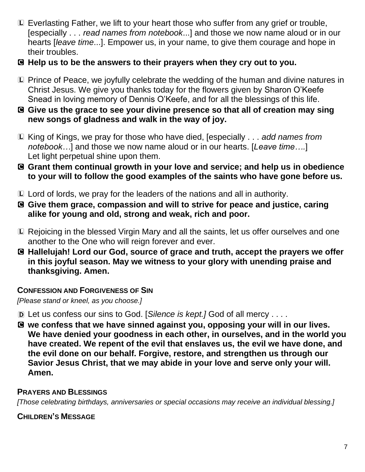- L Everlasting Father, we lift to your heart those who suffer from any grief or trouble, [especially . . . *read names from notebook*...] and those we now name aloud or in our hearts [*leave time*...]. Empower us, in your name, to give them courage and hope in their troubles.
- C **Help us to be the answers to their prayers when they cry out to you.**
- L Prince of Peace, we joyfully celebrate the wedding of the human and divine natures in Christ Jesus. We give you thanks today for the flowers given by Sharon O'Keefe Snead in loving memory of Dennis O'Keefe, and for all the blessings of this life.
- C **Give us the grace to see your divine presence so that all of creation may sing new songs of gladness and walk in the way of joy.**
- L King of Kings, we pray for those who have died, [especially . . . *add names from notebook…*] and those we now name aloud or in our hearts. [*Leave time….*] Let light perpetual shine upon them.
- C **Grant them continual growth in your love and service; and help us in obedience to your will to follow the good examples of the saints who have gone before us.**
- L Lord of lords, we pray for the leaders of the nations and all in authority.
- C **Give them grace, compassion and will to strive for peace and justice, caring alike for young and old, strong and weak, rich and poor.**
- L Rejoicing in the blessed Virgin Mary and all the saints, let us offer ourselves and one another to the One who will reign forever and ever.
- C **Hallelujah! Lord our God, source of grace and truth, accept the prayers we offer in this joyful season. May we witness to your glory with unending praise and thanksgiving. Amen.**

# **CONFESSION AND FORGIVENESS OF SIN**

*[Please stand or kneel, as you choose.]*

- D Let us confess our sins to God. [*Silence is kept.]* God of all mercy . . . .
- C **we confess that we have sinned against you, opposing your will in our lives. We have denied your goodness in each other, in ourselves, and in the world you have created. We repent of the evil that enslaves us, the evil we have done, and the evil done on our behalf. Forgive, restore, and strengthen us through our Savior Jesus Christ, that we may abide in your love and serve only your will. Amen.**

# **PRAYERS AND BLESSINGS**

*[Those celebrating birthdays, anniversaries or special occasions may receive an individual blessing.]*

### **CHILDREN'S MESSAGE**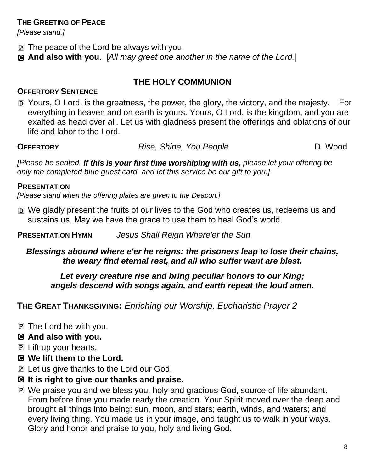### **THE GREETING OF PEACE**

*[Please stand.]*

- $\overline{p}$  The peace of the Lord be always with you.
- C **And also with you.** [*All may greet one another in the name of the Lord.*]

# **THE HOLY COMMUNION**

# **OFFERTORY SENTENCE**

D Yours, O Lord, is the greatness, the power, the glory, the victory, and the majesty. For everything in heaven and on earth is yours. Yours, O Lord, is the kingdom, and you are exalted as head over all. Let us with gladness present the offerings and oblations of our life and labor to the Lord.

**OFFERTORY** *Rise, Shine, You People* D. Wood

*[Please be seated. If this is your first time worshiping with us, please let your offering be only the completed blue guest card, and let this service be our gift to you.]*

#### **PRESENTATION**

*[Please stand when the offering plates are given to the Deacon.]*

D We gladly present the fruits of our lives to the God who creates us, redeems us and sustains us. May we have the grace to use them to heal God's world.

**PRESENTATION HYMN** *Jesus Shall Reign Where'er the Sun*

#### *Blessings abound where e'er he reigns: the prisoners leap to lose their chains, the weary find eternal rest, and all who suffer want are blest.*

### *Let every creature rise and bring peculiar honors to our King; angels descend with songs again, and earth repeat the loud amen.*

# **THE GREAT THANKSGIVING:** *Enriching our Worship, Eucharistic Prayer 2*

**P** The Lord be with you.

### C **And also with you.**

- P Lift up your hearts.
- C **We lift them to the Lord.**
- **P** Let us give thanks to the Lord our God.
- C **It is right to give our thanks and praise.**
- P We praise you and we bless you, holy and gracious God, source of life abundant. From before time you made ready the creation. Your Spirit moved over the deep and brought all things into being: sun, moon, and stars; earth, winds, and waters; and every living thing. You made us in your image, and taught us to walk in your ways. Glory and honor and praise to you, holy and living God.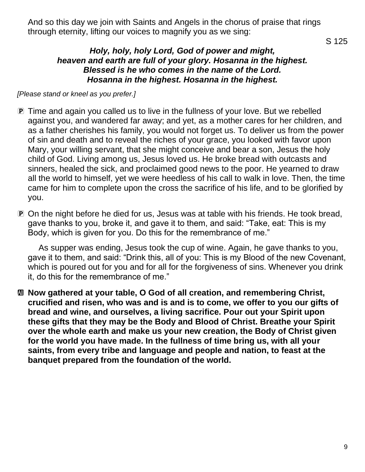And so this day we join with Saints and Angels in the chorus of praise that rings through eternity, lifting our voices to magnify you as we sing:

S 125

# *Holy, holy, holy Lord, God of power and might, heaven and earth are full of your glory. Hosanna in the highest. Blessed is he who comes in the name of the Lord. Hosanna in the highest. Hosanna in the highest.*

#### *[Please stand or kneel as you prefer.]*

- P Time and again you called us to live in the fullness of your love. But we rebelled against you, and wandered far away; and yet, as a mother cares for her children, and as a father cherishes his family, you would not forget us. To deliver us from the power of sin and death and to reveal the riches of your grace, you looked with favor upon Mary, your willing servant, that she might conceive and bear a son, Jesus the holy child of God. Living among us, Jesus loved us. He broke bread with outcasts and sinners, healed the sick, and proclaimed good news to the poor. He yearned to draw all the world to himself, yet we were heedless of his call to walk in love. Then, the time came for him to complete upon the cross the sacrifice of his life, and to be glorified by you.
- P On the night before he died for us, Jesus was at table with his friends. He took bread, gave thanks to you, broke it, and gave it to them, and said: "Take, eat: This is my Body, which is given for you. Do this for the remembrance of me."

As supper was ending, Jesus took the cup of wine. Again, he gave thanks to you, gave it to them, and said: "Drink this, all of you: This is my Blood of the new Covenant, which is poured out for you and for all for the forgiveness of sins. Whenever you drink it, do this for the remembrance of me."

 $M$  **Now gathered at your table, O God of all creation, and remembering Christ, crucified and risen, who was and is and is to come, we offer to you our gifts of bread and wine, and ourselves, a living sacrifice. Pour out your Spirit upon these gifts that they may be the Body and Blood of Christ. Breathe your Spirit over the whole earth and make us your new creation, the Body of Christ given for the world you have made. In the fullness of time bring us, with all your saints, from every tribe and language and people and nation, to feast at the banquet prepared from the foundation of the world.**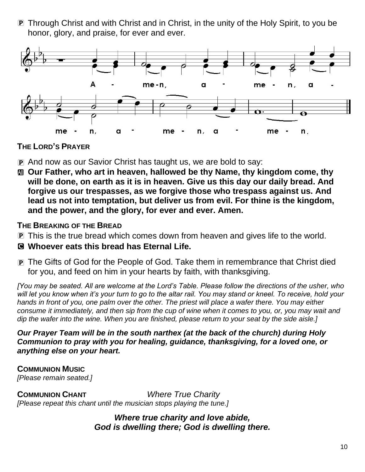P Through Christ and with Christ and in Christ, in the unity of the Holy Spirit, to you be honor, glory, and praise, for ever and ever.



# **THE LORD'S PRAYER**

- P And now as our Savior Christ has taught us, we are bold to say:
- $\text{M}$  **Our Father, who art in heaven, hallowed be thy Name, thy kingdom come, thy will be done, on earth as it is in heaven. Give us this day our daily bread. And forgive us our trespasses, as we forgive those who trespass against us. And lead us not into temptation, but deliver us from evil. For thine is the kingdom, and the power, and the glory, for ever and ever. Amen.**

### **THE BREAKING OF THE BREAD**

P This is the true bread which comes down from heaven and gives life to the world.

### C **Whoever eats this bread has Eternal Life.**

P The Gifts of God for the People of God. Take them in remembrance that Christ died for you, and feed on him in your hearts by faith, with thanksgiving.

*[You may be seated. All are welcome at the Lord's Table. Please follow the directions of the usher, who*  will let you know when it's your turn to go to the altar rail. You may stand or kneel. To receive, hold your *hands in front of you, one palm over the other. The priest will place a wafer there. You may either consume it immediately, and then sip from the cup of wine when it comes to you, or, you may wait and dip the wafer into the wine. When you are finished, please return to your seat by the side aisle.]*

#### *Our Prayer Team will be in the south narthex (at the back of the church) during Holy Communion to pray with you for healing, guidance, thanksgiving, for a loved one, or anything else on your heart.*

**COMMUNION MUSIC** *[Please remain seated.]*

**COMMUNION CHANT** *Where True Charity [Please repeat this chant until the musician stops playing the tune.]*

#### *Where true charity and love abide, God is dwelling there; God is dwelling there.*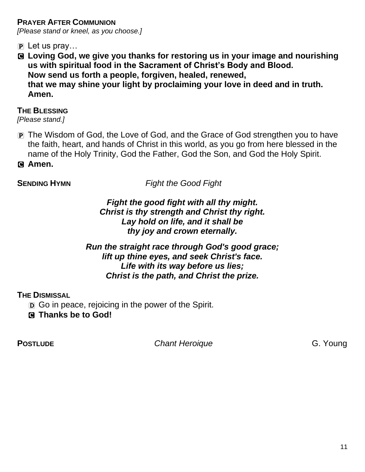**PRAYER AFTER COMMUNION**

*[Please stand or kneel, as you choose.]*

 $\mathbf{P}$  Let us pray...

C **Loving God, we give you thanks for restoring us in your image and nourishing us with spiritual food in the Sacrament of Christ's Body and Blood. Now send us forth a people, forgiven, healed, renewed, that we may shine your light by proclaiming your love in deed and in truth. Amen.**

#### **THE BLESSING**

*[Please stand.]*

- P The Wisdom of God, the Love of God, and the Grace of God strengthen you to have the faith, heart, and hands of Christ in this world, as you go from here blessed in the name of the Holy Trinity, God the Father, God the Son, and God the Holy Spirit.
- C **Amen.**

**SENDING HYMN** *Fight the Good Fight*

### *Fight the good fight with all thy might. Christ is thy strength and Christ thy right. Lay hold on life, and it shall be thy joy and crown eternally.*

# *Run the straight race through God's good grace; lift up thine eyes, and seek Christ's face. Life with its way before us lies; Christ is the path, and Christ the prize.*

### **THE DISMISSAL**

D Go in peace, rejoicing in the power of the Spirit.

C **Thanks be to God!**

**POSTLUDE Chant Heroique** G. Young